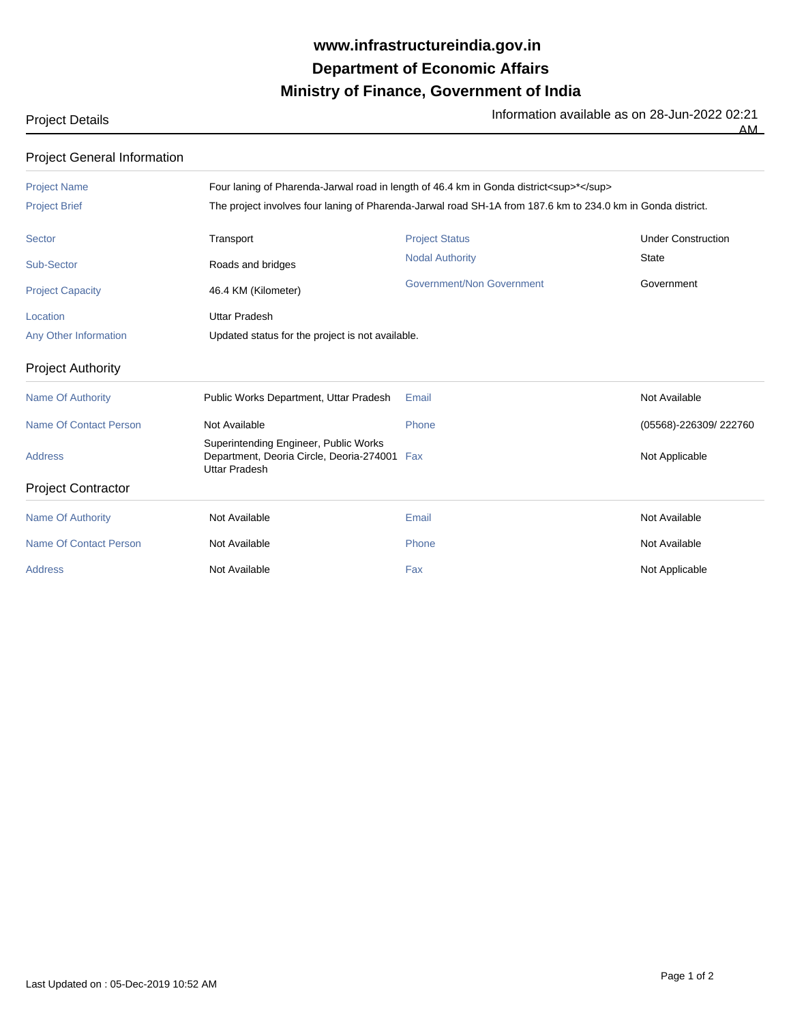## **Ministry of Finance, Government of India Department of Economic Affairs www.infrastructureindia.gov.in**

Project Details **Information available as on 28-Jun-2022 02:21** Information available as on 28-Jun-2022 02:21

 $\overline{AM}$ 

| <b>Project General Information</b> |                                                                                                               |                                  |                           |  |
|------------------------------------|---------------------------------------------------------------------------------------------------------------|----------------------------------|---------------------------|--|
| <b>Project Name</b>                | Four laning of Pharenda-Jarwal road in length of 46.4 km in Gonda district <sup>*</sup>                       |                                  |                           |  |
| <b>Project Brief</b>               | The project involves four laning of Pharenda-Jarwal road SH-1A from 187.6 km to 234.0 km in Gonda district.   |                                  |                           |  |
| Sector                             | Transport                                                                                                     | <b>Project Status</b>            | <b>Under Construction</b> |  |
| Sub-Sector                         | Roads and bridges                                                                                             | <b>Nodal Authority</b>           | <b>State</b>              |  |
| <b>Project Capacity</b>            | 46.4 KM (Kilometer)                                                                                           | <b>Government/Non Government</b> | Government                |  |
| Location                           | <b>Uttar Pradesh</b>                                                                                          |                                  |                           |  |
| Any Other Information              | Updated status for the project is not available.                                                              |                                  |                           |  |
| <b>Project Authority</b>           |                                                                                                               |                                  |                           |  |
| <b>Name Of Authority</b>           | Public Works Department, Uttar Pradesh                                                                        | Email                            | Not Available             |  |
| Name Of Contact Person             | Not Available                                                                                                 | Phone                            | (05568)-226309/222760     |  |
| <b>Address</b>                     | Superintending Engineer, Public Works<br>Department, Deoria Circle, Deoria-274001 Fax<br><b>Uttar Pradesh</b> |                                  | Not Applicable            |  |
| <b>Project Contractor</b>          |                                                                                                               |                                  |                           |  |
| <b>Name Of Authority</b>           | Not Available                                                                                                 | Email                            | Not Available             |  |
| <b>Name Of Contact Person</b>      | Not Available                                                                                                 | Phone                            | Not Available             |  |
| <b>Address</b>                     | Not Available                                                                                                 | Fax                              | Not Applicable            |  |